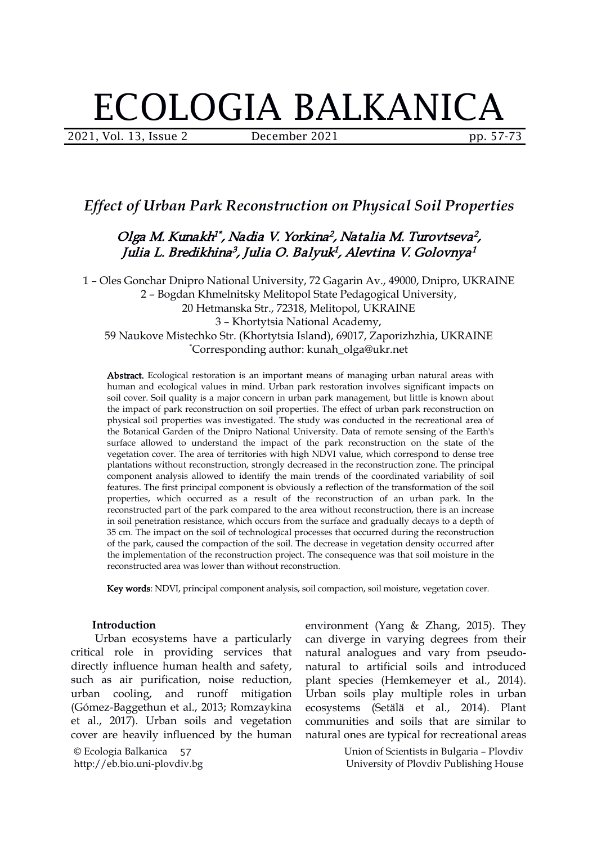# ECOLOGIA BALKANICA

2021, Vol. 13, Issue 2 December 2021 pp. 57-73

## *Effect of Urban Park Reconstruction on Physical Soil Properties*

#### Olga M. Kunakh<sup>1\*</sup>, Nadia V. Yorkina<sup>2</sup>, Natalia M. Turovtseva<sup>2</sup>,  $\mathcal{L}$  , the state of  $\mathcal{L}$ Julia L. Bredikhina<sup>3</sup>, Julia O. Balyuk<sup>1</sup>, Alevtina V. Golovnya<sup>1</sup>  $\mathbf{1}$

 – Oles Gonchar Dnipro National University, 72 Gagarin Av., 49000, Dnipro, UKRAINE – Bogdan Khmelnitsky Melitopol State Pedagogical University, Hetmanska Str., 72318, Melitopol, UKRAINE – Khortytsia National Academy, Naukove Mistechko Str. (Khortytsia Island), 69017, Zaporizhzhia, UKRAINE \*Corresponding author: kunah\_olga@ukr.net

Abstract. Ecological restoration is an important means of managing urban natural areas with human and ecological values in mind. Urban park restoration involves significant impacts on soil cover. Soil quality is a major concern in urban park management, but little is known about the impact of park reconstruction on soil properties. The effect of urban park reconstruction on physical soil properties was investigated. The study was conducted in the recreational area of the Botanical Garden of the Dnipro National University. Data of remote sensing of the Earth's surface allowed to understand the impact of the park reconstruction on the state of the vegetation cover. The area of territories with high NDVI value, which correspond to dense tree plantations without reconstruction, strongly decreased in the reconstruction zone. The principal component analysis allowed to identify the main trends of the coordinated variability of soil features. The first principal component is obviously a reflection of the transformation of the soil properties, which occurred as a result of the reconstruction of an urban park.In the reconstructed part of the park compared to the area without reconstruction, there is an increase in soil penetration resistance, which occurs from the surface and gradually decays to a depth of 35 cm. The impact on the soil of technological processes that occurred during the reconstruction of the park, caused the compaction of the soil. The decrease in vegetation density occurred after the implementation of the reconstruction project. The consequence was that soil moisture in the reconstructed area was lower than without reconstruction.

Key words: NDVI, principal component analysis, soil compaction, soil moisture, vegetation cover.

#### **Introduction**

Urban ecosystems have a particularly critical role in providing services that directly influence human health and safety, such as air purification, noise reduction, urban cooling, and runoff mitigation (Gómez-Baggethun et al., 2013; Romzaykina et al., 2017). Urban soils and vegetation cover are heavily influenced by the human

© Ecologia Balkanica http://eb.bio.uni-plovdiv.bg 57

environment (Yang & Zhang, 2015). They can diverge in varying degrees from their natural analogues and vary from pseudo natural to artificial soils and introduced plant species (Hemkemeyer et al., 2014). Urban soils play multiple roles in urban ecosystems (Setälä et al., 2014). Plant communities and soils that are similar to natural ones are typical for recreational areas

> Union of Scientists in Bulgaria – Plovdiv University of Plovdiv Publishing House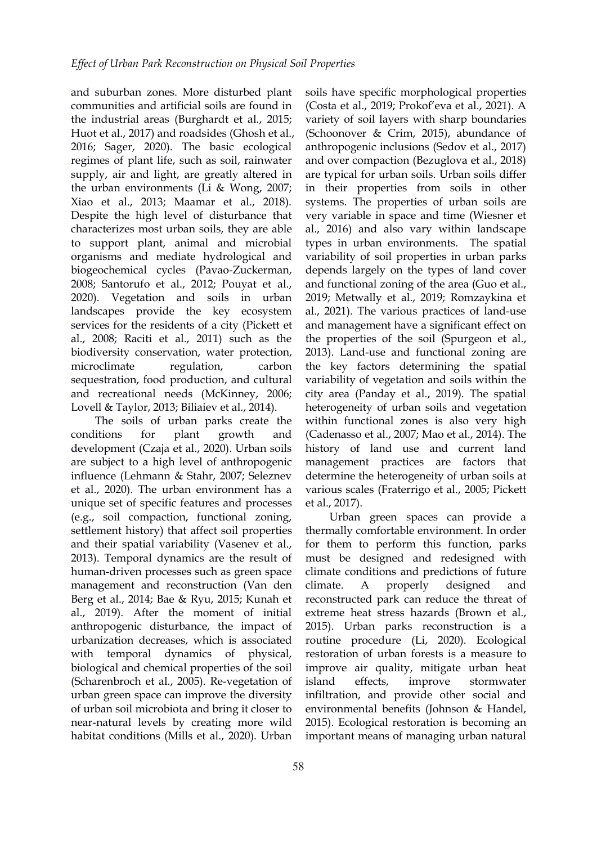and suburban zones. More disturbed plant communities and artificial soils are found in the industrial areas (Burghardt et al., 2015; Huot et al., 2017) and roadsides (Ghosh et al., 2016; Sager, 2020). The basic ecological regimes of plant life, such as soil, rainwater supply, air and light, are greatly altered in the urban environments (Li & Wong, 2007; Xiao et al., 2013; Maamar et al., 2018). Despite the high level of disturbance that characterizes most urban soils, they are able to support plant, animal and microbial organisms and mediate hydrological and biogeochemical cycles (Pavao-Zuckerman, 2008; Santorufo et al., 2012; Pouyat et al., 2020). Vegetation and soils in urban landscapes provide the key ecosystem services for the residents of a city (Pickett et al., 2008; Raciti et al., 2011) such as the biodiversity conservation, water protection, sequestration, food production, and cultural and recreational needs (McKinney, 2006; Lovell & Taylor, 2013; Biliaiev et al., 2014).

The soils of urban parks create the development (Czaja et al., 2020). Urban soils are subject to a high level of anthropogenic influence (Lehmann & Stahr, 2007; Seleznev et al., 2020). The urban environment has a unique set of specific features and processes (e.g., soil compaction, functional zoning, settlement history) that affect soil properties and their spatial variability (Vasenev et al., 2013). Temporal dynamics are the result of human-driven processes such as green space management and reconstruction (Van den climate. A properly Berg et al., 2014; Bae & Ryu, 2015; Kunah et al., 2019). After the moment of initial anthropogenic disturbance, the impact of urbanization decreases, which is associated with temporal dynamics of physical, biological and chemical properties of the soil (Scharenbroch et al., 2005). Re-vegetation of urban green space can improve the diversity of urban soil microbiota and bring it closer to near-natural levels by creating more wild habitat conditions (Mills et al., 2020). Urban

microclimate regulation, carbon the key factors determining the spatial conditions for plant growth and (Cadenasso et al., 2007; Mao et al., 2014). The soils have specific morphological properties (Costa et al., 2019; Prokof'eva et al., 2021). A variety of soil layers with sharp boundaries (Schoonover & Crim, 2015), abundance of anthropogenic inclusions (Sedov et al., 2017) and over compaction (Bezuglova et al., 2018) are typical for urban soils. Urban soils differ in their properties from soils in other systems. The properties of urban soils are very variable in space and time (Wiesner et al., 2016) and also vary within landscape types in urban environments. The spatial variability of soil properties in urban parks depends largely on the types of land cover and functional zoning of the area (Guo et al., 2019; Metwally et al., 2019; Romzaykina et al., 2021). The various practices of land-use and management have a significant effect on the properties of the soil (Spurgeon et al., 2013). Land-use and functional zoning are variability of vegetation and soils within the city area (Panday et al., 2019). The spatial heterogeneity of urban soils and vegetation within functional zones is also very high history of land use and current land management practices are factors that determine the heterogeneity of urban soils at various scales (Fraterrigo et al., 2005; Pickett et al., 2017).

> Urban green spaces can provide a thermally comfortable environment. In order for them to perform this function, parks must be designed and redesigned with climate conditions and predictions of future designed and reconstructed park can reduce the threat of extreme heat stress hazards (Brown et al., 2015). Urban parks reconstruction is a routine procedure (Li, 2020). Ecological restoration of urban forests is a measure to improve air quality, mitigate urban heat improve stormwater infiltration, and provide other social and environmental benefits (Johnson & Handel, 2015). Ecological restoration is becoming an important means of managing urban natural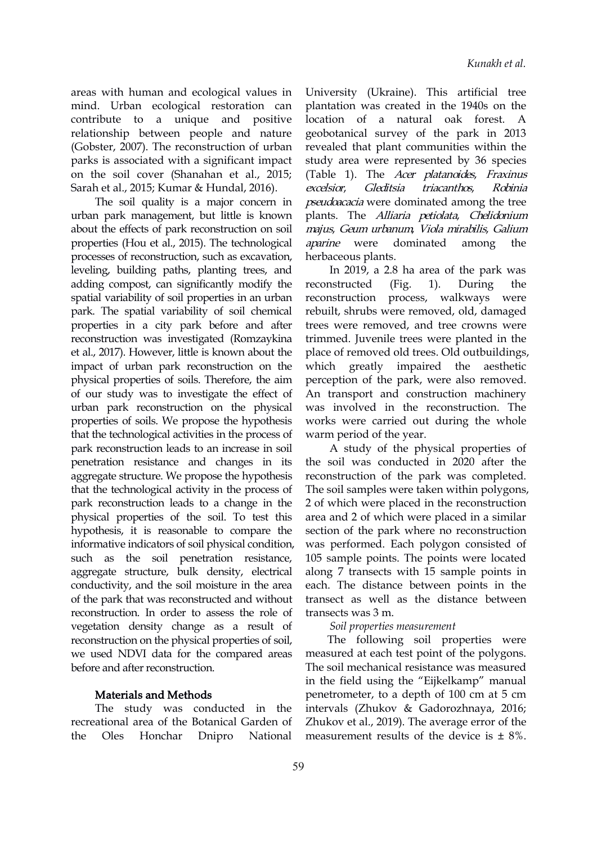areas with human and ecological values in mind. Urban ecological restoration can contribute to a unique and positive relationship between people and nature (Gobster, 2007). The reconstruction of urban parks is associated with a significant impact on the soil cover (Shanahan et al., 2015; Sarah et al., 2015; Kumar & Hundal, 2016). excelsior, Gleditsia

The soil quality is a major concern in urban park management, but little is known about the effects of park reconstruction on soil properties (Hou et al., 2015). The technological *aparine* were processes of reconstruction, such as excavation, leveling, building paths, planting trees, and adding compost, can significantly modify the reconstructed (Fig. spatial variability of soil properties in an urban park. The spatial variability of soil chemical properties in a city park before and after reconstruction was investigated (Romzaykina et al.,2017). However, little is known about the impact of urban park reconstruction on the which greatly physical properties of soils. Therefore, the aim of our study was to investigate the effect of urban park reconstruction on the physical properties of soils. We propose the hypothesis that the technological activities in the process of park reconstruction leads to an increase in soil penetration resistance and changes in its aggregate structure. We propose the hypothesis that the technological activity in the process of park reconstruction leads to a change in the physical properties of the soil. To test this hypothesis, it is reasonable to compare the informative indicators of soil physical condition, such as the soil penetration resistance, aggregate structure, bulk density, electrical conductivity, and the soil moisture in the area of the park that was reconstructed and without reconstruction. In order to assess the role of vegetation density change as a result of reconstruction on the physical properties of soil, we used NDVI data for the compared areas before and after reconstruction.

#### Materials and Methods

The study was conducted in the recreational area of the Botanical Garden of the Oles Honchar Dnipro National

University (Ukraine). This artificial tree plantation was created in the 1940s on the location of a natural oak forest. A geobotanical survey of the park in 2013 revealed that plant communities within the study area were represented by 36 species (Table 1). The Acer platanoides, Fraxinus triacanthos, Robinia pseudoacacia were dominated among the tree plants. The Alliaria petiolata, Chelidonium majus, Geum urbanum, Viola mirabilis, Galium dominated among the herbaceous plants.

In 2019, a 2.8 ha area of the park was reconstructed (Fig. 1). During the reconstruction process, walkways were rebuilt, shrubs were removed, old, damaged trees were removed, and tree crowns were trimmed. Juvenile trees were planted in the place of removed old trees. Old outbuildings, impaired the aesthetic perception of the park, were also removed. An transport and construction machinery was involved in the reconstruction. The works were carried out during the whole warm period of the year.

A study of the physical properties of the soil was conducted in 2020 after the reconstruction of the park was completed. The soil samples were taken within polygons, 2 of which were placed in the reconstruction area and 2 of which were placed in a similar section of the park where no reconstruction was performed. Each polygon consisted of 105 sample points. The points were located along 7 transects with 15 sample points in each. The distance between points in the transect as well as the distance between transects was 3 m.

#### *Soil properties measurement*

The following soil properties were measured at each test point of the polygons. The soil mechanical resistance was measured in the field using the "Eijkelkamp" manual penetrometer, to a depth of 100 cm at 5 cm intervals (Zhukov & Gadorozhnaya, 2016; Zhukov et al., 2019). The average error of the measurement results of the device is  $\pm 8\%$ .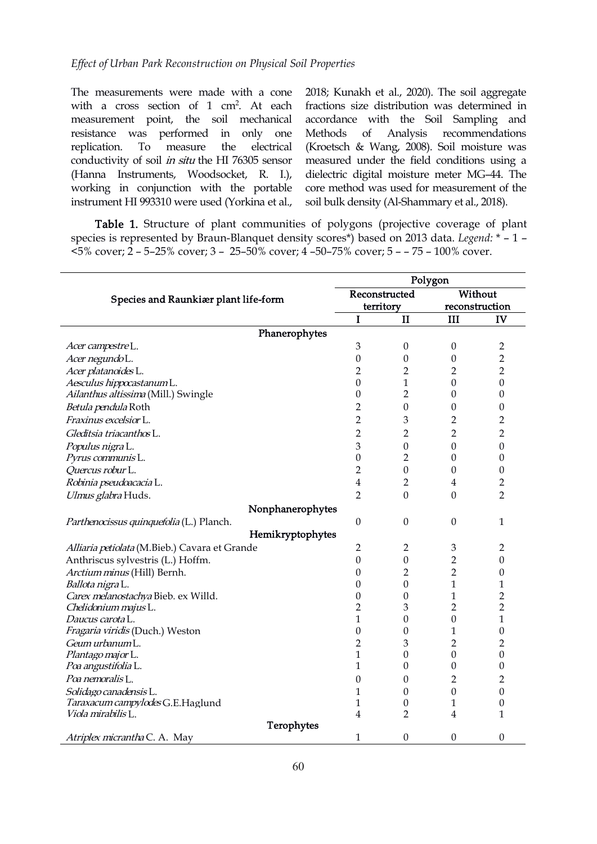The measurements were made with a cone with a cross section of 1 cm<sup>2</sup>. At each measurement point, the soil mechanical resistance was performed in only one replication. To measure the electrical conductivity of soil in situ the HI 76305 sensor (Hanna Instruments, Woodsocket, R. I.), working in conjunction with the portable instrument HI 993310 were used (Yorkina et al.,

. At each fractions size distribution was determined in 2018; Kunakh et al., 2020). The soil aggregate accordance with the Soil Sampling and Analysis recommendations (Kroetsch & Wang, 2008). Soil moisture was measured under the field conditions using a dielectric digital moisture meter MG–44. The core method was used for measurement of the soil bulk density (Al-Shammary et al., 2018).

Table 1. Structure of plant communities of polygons (projective coverage of plant species is represented by Braun-Blanquet density scores\*) based on 2013 data. *Legend:* \* – 1 – <5% cover; 2 – 5–25% cover; 3 – 25–50% cover;4 –50–75% cover; 5 – – 75– 100% cover.

|                                               |                         |                  | Polygon          |                  |
|-----------------------------------------------|-------------------------|------------------|------------------|------------------|
|                                               |                         | Reconstructed    |                  | Without          |
| Species and Raunkiær plant life-form          |                         | territory        | reconstruction   |                  |
|                                               | I                       | $\mathbf{I}$     | III              | IV               |
| Phanerophytes                                 |                         |                  |                  |                  |
| Acer campestre L.                             | 3                       | $\boldsymbol{0}$ | $\boldsymbol{0}$ | $\overline{c}$   |
| Acer negundoL.                                | $\boldsymbol{0}$        | $\boldsymbol{0}$ | $\boldsymbol{0}$ | $\overline{2}$   |
| Acer platanoides L.                           | $\overline{2}$          | $\overline{2}$   | 2                | $\overline{2}$   |
| Aesculus hippocastanum L.                     | $\boldsymbol{0}$        | $\mathbf{1}$     | $\boldsymbol{0}$ | $\boldsymbol{0}$ |
| Ailanthus altissima (Mill.) Swingle           | $\boldsymbol{0}$        | $\overline{2}$   | 0                | $\mathbf{0}$     |
| Betula pendula Roth                           | $\overline{2}$          | $\boldsymbol{0}$ | 0                | 0                |
| Fraxinus excelsior L.                         | $\overline{2}$          | 3                | 2                | $\overline{2}$   |
| Gleditsia triacanthos L.                      | $\overline{2}$          | $\overline{2}$   | 2                | $\overline{2}$   |
| Populus nigra L.                              | $\mathfrak{B}$          | $\boldsymbol{0}$ | $\boldsymbol{0}$ | $\boldsymbol{0}$ |
| Pyrus communis L.                             | $\boldsymbol{0}$        | $\overline{2}$   | 0                | $\boldsymbol{0}$ |
| Quercus robur L.                              | $\overline{2}$          | $\boldsymbol{0}$ | 0                | $\boldsymbol{0}$ |
| Robinia pseudoacacia L.                       | $\overline{\mathbf{4}}$ | $\overline{2}$   | 4                | $\overline{2}$   |
| Ulmus glabra Huds.                            | $\overline{2}$          | $\mathbf{0}$     | $\boldsymbol{0}$ | $\overline{2}$   |
| Nonphanerophytes                              |                         |                  |                  |                  |
| Parthenocissus quinquefolia (L.) Planch.      | $\boldsymbol{0}$        | $\boldsymbol{0}$ | $\boldsymbol{0}$ | $\mathbf{1}$     |
| Hemikryptophytes                              |                         |                  |                  |                  |
| Alliaria petiolata (M.Bieb.) Cavara et Grande | 2                       | $\overline{2}$   | $\mathfrak 3$    | 2                |
| Anthriscus sylvestris (L.) Hoffm.             | $\boldsymbol{0}$        | $\boldsymbol{0}$ | $\overline{2}$   | $\boldsymbol{0}$ |
| Arctium minus (Hill) Bernh.                   | $\boldsymbol{0}$        | $\overline{2}$   | $\overline{2}$   | $\boldsymbol{0}$ |
| Ballota nigra L.                              | $\mathbf{0}$            | $\boldsymbol{0}$ | $\mathbf{1}$     | 1                |
| Carex melanostachya Bieb. ex Willd.           | $\boldsymbol{0}$        | $\boldsymbol{0}$ | 1                | $\overline{2}$   |
| Chelidonium majus L.                          | $\overline{2}$          | 3                | $\overline{2}$   | $\overline{2}$   |
| Daucus carota L.                              | 1                       | $\boldsymbol{0}$ | 0                | 1                |
| Fragaria viridis (Duch.) Weston               | $\boldsymbol{0}$        | $\boldsymbol{0}$ | 1                | $\boldsymbol{0}$ |
| Geum urbanumL.                                | $\overline{2}$          | 3                | $\overline{2}$   | 2                |
| Plantago major L.                             | $\mathbf{1}$            | $\boldsymbol{0}$ | $\boldsymbol{0}$ | $\boldsymbol{0}$ |
| Poa angustifolia L.                           | $\mathbf{1}$            | $\boldsymbol{0}$ | 0                | $\mathbf{0}$     |
| Poa nemoralis <sub>L.</sub>                   | $\mathbf{0}$            | $\boldsymbol{0}$ | $\overline{2}$   | $\overline{2}$   |
| Solidago canadensis L.                        | 1                       | $\boldsymbol{0}$ | $\boldsymbol{0}$ | $\boldsymbol{0}$ |
| Taraxacum campylodes G.E.Haglund              | 1                       | $\boldsymbol{0}$ | 1                | $\boldsymbol{0}$ |
| Viola mirabilis L.<br>Terophytes              | 4                       | $\overline{2}$   | 4                | 1                |
| Atriplex micrantha C. A. May                  | 1                       | $\boldsymbol{0}$ | $\boldsymbol{0}$ | $\mathbf{0}$     |
|                                               |                         |                  |                  |                  |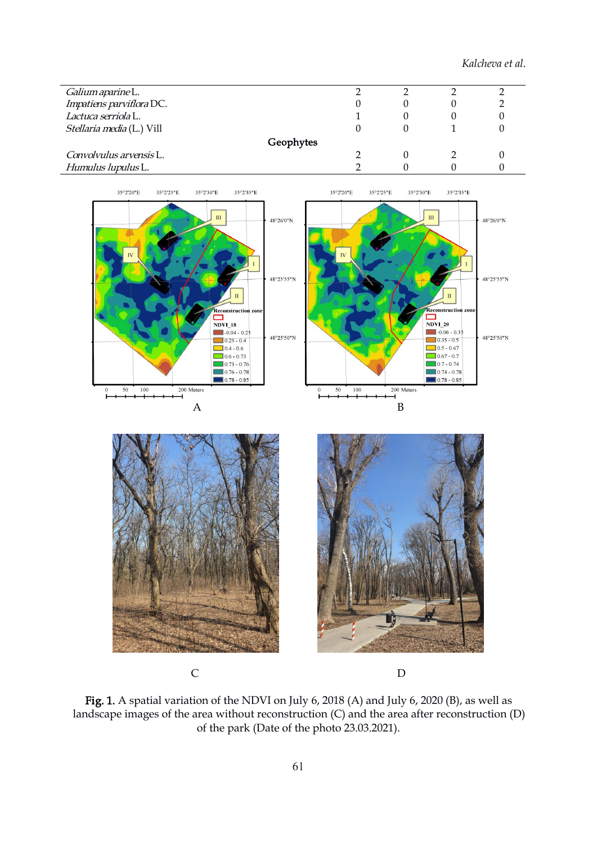*Kalcheva et al.*

| Galium aparine L.               |  |  |
|---------------------------------|--|--|
| Impatiens parviflora DC.        |  |  |
| Lactuca serriola <sub>L</sub> . |  |  |
| Stellaria media (L.) Vill       |  |  |
| Geophytes                       |  |  |
| Convolvulus arvensis L.         |  |  |
| Humulus lupulus L.              |  |  |



Fig. 1. A spatial variation of the NDVI on July 6, 2018 (A) and July 6, 2020 (B), as well as landscape images of the area without reconstruction (C) and the area after reconstruction (D) of the park (Date of the photo 23.03.2021).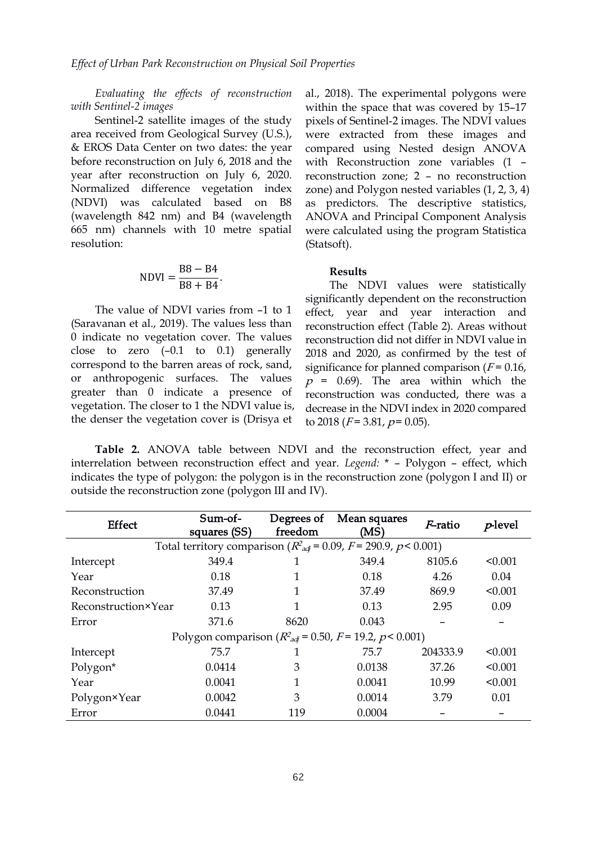*Evaluating the ef ects of reconstruction with Sentinel-2 images*

Sentinel-2 satellite images of the study area received from Geological Survey (U.S.), & EROS Data [Center](https://earthexplorer.usgs.gov/) on two dates: the year before reconstruction on July 6, 2018 and the year after reconstruction on July 6, 2020. Normalized difference vegetation index (NDVI) was calculated based on B8 (wavelength 842 nm) and B4 (wavelength 665 nm) channels with 10 metre spatial resolution:

$$
NDVI = \frac{B8 - B4}{B8 + B4}.
$$
 **Results** The NDVI values were

The value of NDVI varies from –1 to 1 (Saravanan et al., 2019). The values less than 0 indicate no vegetation cover. The values close to zero (–0.1 to 0.1) generally correspond to the barren areas of rock, sand, or anthropogenic surfaces. The values greater than 0 indicate a presence of vegetation. The closer to 1 the NDVI value is, the denser the vegetation cover is (Drisya et

al., 2018). The experimental polygons were within the space that was covered by 15–17 pixels of Sentinel-2 images. The NDVI values were extracted from these images and compared using Nested design ANOVA with Reconstruction zone variables (1 – reconstruction zone; 2 – no reconstruction zone) and Polygon nested variables (1, 2, 3, 4) as predictors. The descriptive statistics, ANOVA and Principal Component Analysis were calculated using the program Statistica (Statsoft).

B8 + B4 The NDVI values were statistically significantly dependent on the reconstruction effect, year and year interaction and reconstruction effect (Table 2). Areas without reconstruction did not differ in NDVI value in 2018 and 2020, as confirmed by the testof significance for planned comparison  $(F = 0.16)$ ,  $p = 0.69$ . The area within which the reconstruction was conducted, there was a decrease in the NDVI index in 2020 compared to 2018 ( $F = 3.81$ ,  $p = 0.05$ ).

**Table 2.** ANOVA table between NDVI and the reconstruction effect, year and interrelation between reconstruction effect and year. *Legend:* \* – Polygon – effect, which indicates the type of polygon: the polygon is in the reconstruction zone (polygon I and II) or outside the reconstruction zone (polygon III and IV).

| <b>Effect</b>       | Sum-of-<br>squares (SS)                                                    | Degrees of<br>freedom | Mean squares<br>(MS) | <i>F</i> -ratio | $p$ -level |
|---------------------|----------------------------------------------------------------------------|-----------------------|----------------------|-----------------|------------|
|                     | Total territory comparison ( $R^2_{adj}$ = 0.09, $F$ = 290.9, $p$ < 0.001) |                       |                      |                 |            |
| Intercept           | 349.4                                                                      |                       | 349.4                | 8105.6          | < 0.001    |
| Year                | 0.18                                                                       |                       | 0.18                 | 4.26            | 0.04       |
| Reconstruction      | 37.49                                                                      |                       | 37.49                | 869.9           | < 0.001    |
| Reconstruction×Year | 0.13                                                                       |                       | 0.13                 | 2.95            | 0.09       |
| Error               | 371.6                                                                      | 8620                  | 0.043                |                 |            |
|                     | Polygon comparison ( $R^2_{ad}$ = 0.50, F = 19.2, p < 0.001)               |                       |                      |                 |            |
| Intercept           | 75.7                                                                       |                       | 75.7                 | 204333.9        | < 0.001    |
| Polygon*            | 0.0414                                                                     | 3                     | 0.0138               | 37.26           | < 0.001    |
| Year                | 0.0041                                                                     |                       | 0.0041               | 10.99           | < 0.001    |
| Polygon×Year        | 0.0042                                                                     | 3                     | 0.0014               | 3.79            | 0.01       |
| Error               | 0.0441                                                                     | 119                   | 0.0004               |                 |            |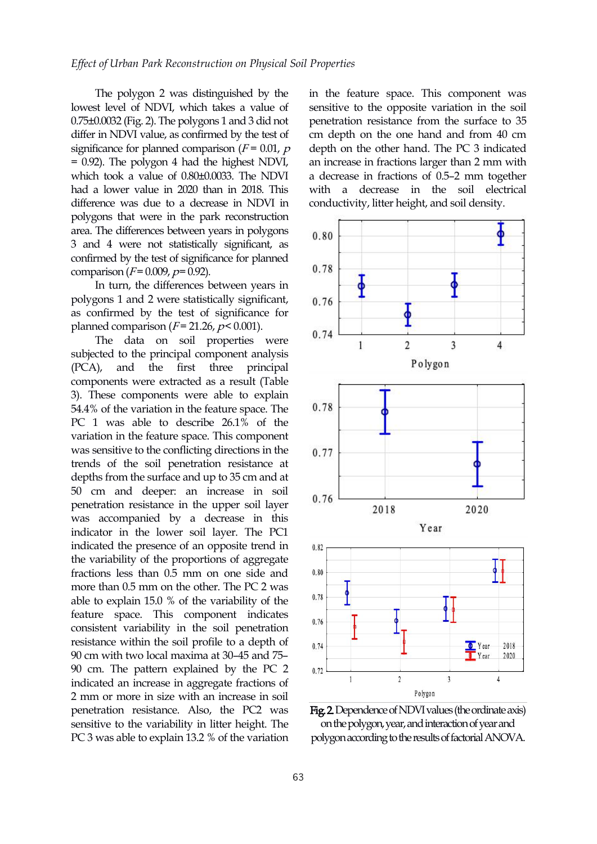The polygon 2 was distinguished by the lowest level of NDVI, which takes a value of 0.75±0.0032 (Fig. 2). The polygons 1 and 3 did not differ in NDVI value, as confirmed by the test of significance for planned comparison  $(F = 0.01, p)$ = 0.92). The polygon 4 had the highest NDVI, which took a value of 0.80±0.0033. The NDVI had a lower value in 2020 than in 2018. This difference was due to a decrease in NDVI in polygons that were in the park reconstruction area. The differences between years in polygons 3 and 4 were not statistically significant, as confirmed by the test of significance for planned<br>comparison  $(F=0.009, p=0.92)$  0.78 comparison ( $F = 0.009$ ,  $p = 0.92$ ).

In turn, the differences between years in polygons 1 and 2 were statistically significant, as confirmed by the test of significance for planned comparison ( $F = 21.26$ ,  $p < 0.001$ ).

The data on soil properties were  $0.74 - 1$ subjected to the principal component analysis  $(PCA)$ , and the first three principal components were extracted as a result (Table 3). These components were able to explain 54.4% of the variation in the feature space. The 0.78 PC 1 was able to describe 26.1% of the variation in the feature space. This component was sensitive to the conflicting directions in the  $0.77$ trends of the soil penetration resistance at depths from the surface and up to 35 cm and at 50 cm and deeper: an increase in soil penetration resistance in the upper soil layer penetration resistance in the upper soil layer<br>was accompanied by a decrease in this indicator in the lower soil layer. The PC1 indicated the presence of an opposite trend in the variability of the proportions of aggregate fractions less than 0.5 mm on one side and more than 0.5 mm on the other. The PC 2 was<br>able to evalue 15.0 % of the variability of the  $^{0.78}$ able to explain 15.0 % of the variability of the feature space. This component indicates consistent variability in the soil penetration resistance within the soil profile to a depth of  $\frac{1}{114}$ 90 cm with two local maxima at 30–45 and 75– 90 cm. The pattern explained by the PC 2  $\frac{0.72}{1}$ indicated an increase in aggregate fractions of 2 mm or more in sizewith an increase in soil penetration resistance. Also, the PC2 was sensitive to the variability in litter height. The PC 3 was able to explain 13.2 % of the variation

in the feature space. This component was sensitive to the opposite variation in the soil penetration resistance from the surface to 35 cm depth on the one hand and from 40 cm depth on the other hand.The PC 3 indicated an increase in fractions larger than 2 mm with a decrease in fractions of 0.5–2 mm together with a decrease in the soil electrical conductivity, litter height, and soil density.



Fig. 2. Dependence of NDVI values (the ordinate axis) onthepolygon,year,andinteractionofyearand polygon according to the results of factorial ANOVA.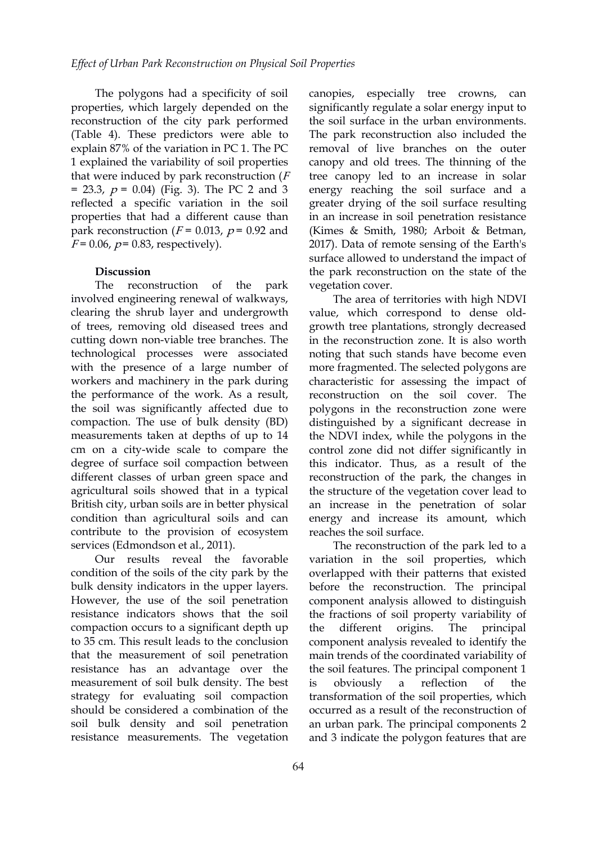The polygons had a specificity of soil canopies, properties, which largely depended on the reconstruction of the city park performed (Table 4). These predictors were able to explain 87% of the variation in PC 1. The PC 1 explained the variability of soil properties that were induced by park reconstruction  $(F)$  $= 23.3, p = 0.04$  (Fig. 3). The PC 2 and 3 reflected a specific variation in the soil properties that had a different cause than park reconstruction ( $F = 0.013$ ,  $p = 0.92$  and  $F = 0.06$ ,  $p = 0.83$ , respectively).

#### **Discussion**

The reconstruction of the park involved engineering renewal of walkways, clearing the shrub layer and undergrowth of trees, removing old diseased trees and cutting down non-viable tree branches. The technological processes were associated with the presence of a large number of workers and machinery in the park during the performance of the work. As a result, the soil was significantly affected due to compaction. The use of bulk density (BD) measurements taken at depths of up to 14 cm on a city-wide scale to compare the degree of surface soil compaction between different classes of urban green space and agricultural soils showed that in a typical British city, urban soils are in better physical condition than agricultural soils and can contribute to the provision of ecosystem services (Edmondson et al., 2011).

Our results reveal the favorable condition of the soils of the city park by the bulk density indicators in the upper layers. However, the use of the soil penetration resistance indicators shows that the soil compaction occurs to a significant depth up the different to 35 cm. This result leads to the conclusion that the measurement of soil penetration resistance has an advantage over the measurement of soil bulk density. The best strategy for evaluating soil compaction should be considered a combination of the soil bulk density and soil penetration resistance measurements. The vegetation

especially tree crowns, can significantly regulate a solar energy input to the soil surface in the urban environments. The park reconstruction also included the removal of live branches on the outer canopy and old trees. The thinning of the tree canopy led to an increase in solar energy reaching the soil surface and a greater drying of the soil surface resulting in an increase in soil penetration resistance (Kimes & Smith, 1980; Arboit & Betman, 2017). Data of remote sensing of the Earth's surface allowed to understand the impact of the park reconstruction on the state of the vegetation cover.

The area of territories with high NDVI value, which correspond to dense old growth tree plantations, strongly decreased in the reconstruction zone. It is also worth noting that such stands have become even more fragmented. The selected polygons are characteristic for assessing the impact of reconstruction on the soil cover. The polygons in the reconstruction zone were distinguished by a significant decrease in the NDVI index, while the polygons in the control zone did not differ significantly in this indicator. Thus, as a result of the reconstruction of the park, the changes in the structure of the vegetation cover lead to an increase in the penetration of solar energy and increase its amount, which reaches the soil surface.

The reconstruction of the park led to a variation in the soil properties, which overlapped with their patterns that existed before the reconstruction. The principal component analysis allowed to distinguish the fractions of soil property variability of origins. The principal component analysis revealed to identify the main trends of the coordinated variability of the soil features. The principal component 1 a reflection of the transformation of the soil properties, which occurred as a result of the reconstruction of an urban park. The principal components 2 and 3 indicate the polygon features that are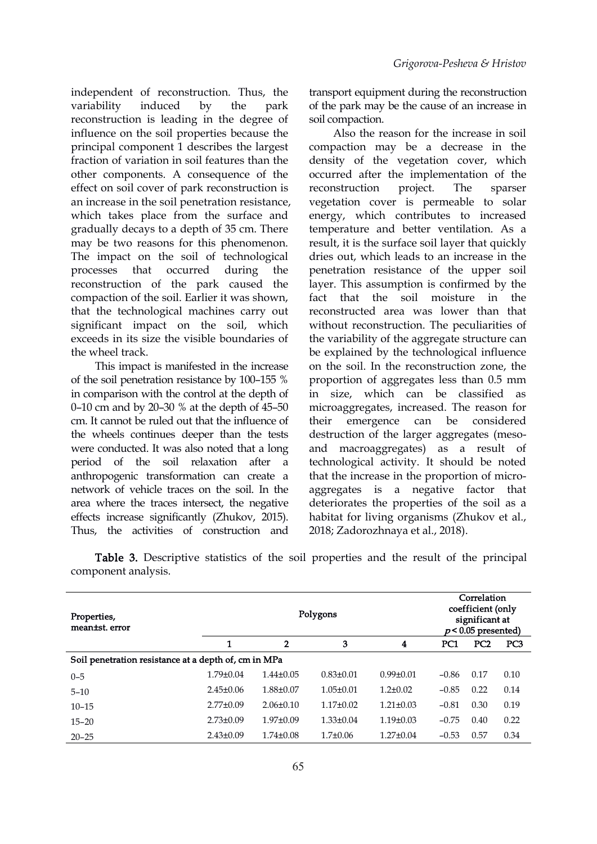independent of reconstruction. Thus, the variability induced by the park of the park may be the cause of an increase in reconstruction is leading in the degree of influence on the soil properties because the principal component 1 describes the largest fraction of variation in soil features than the other components. A consequence of the effect on soil cover of park reconstruction is reconstruction project. an increase in the soil penetration resistance, which takes place from the surface and gradually decays to a depth of 35 cm. There may be two reasons for this phenomenon. The impact on the soil of technological reconstruction of the park caused the compaction of the soil. Earlier it was shown, that the technological machines carry out significant impact on the soil, which exceeds in its size the visible boundaries of the wheel track.

This impact is manifested in the increase of the soil penetration resistance by 100–155 % in comparison with the control at the depth of 0–10 cm and by 20–30 % at the depth of 45–50 cm. It cannot be ruled out that the influence of the wheels continues deeper than the tests were conducted. It was also noted that a long period of the soil relaxation after a anthropogenic transformation can create a network of vehicle traces on the soil. In the area where the traces intersect, the negative effects increase significantly (Zhukov, 2015). Thus, the activities of construction and

transport equipment during the reconstruction soil compaction.

processes that occurred during the penetration resistance of the upper soil Also the reason for the increase in soil compaction may be a decrease in the density of the vegetation cover, which occurred after the implementation of the reconstruction project. The sparser vegetation cover is permeable to solar energy, which contributes to increased temperature and better ventilation. As a result, it is the surface soil layer that quickly dries out, which leads to an increase in the layer. This assumption is confirmed by the fact that the soil moisture in the reconstructed area was lower than that without reconstruction. The peculiarities of the variability of the aggregate structure can be explained by the technological influence on the soil. In the reconstruction zone, the proportion of aggregates less than 0.5 mm in size, which can be classified as microaggregates, increased. The reason for their emergence can be considered destruction of the larger aggregates (meso and macroaggregates) as a result of technological activity. It should be noted that the increase in the proportion of micro aggregates is a negative factor that deteriorates the properties of the soil as a habitat for living organisms (Zhukov et al., 2018; Zadorozhnaya et al., 2018).

Table 3. Descriptive statistics of the soil properties and the result of the principal component analysis.

| Properties,<br>mean±st. error                        |                 | Correlation<br>coefficient (only<br>significant at<br>$p<0.05$ presented) |                 |                 |         |                 |                 |  |  |  |
|------------------------------------------------------|-----------------|---------------------------------------------------------------------------|-----------------|-----------------|---------|-----------------|-----------------|--|--|--|
|                                                      |                 | $\overline{2}$                                                            | 3               | 4               | PC1     | PC <sub>2</sub> | PC <sub>3</sub> |  |  |  |
| Soil penetration resistance at a depth of, cm in MPa |                 |                                                                           |                 |                 |         |                 |                 |  |  |  |
| $0 - 5$                                              | $1.79 \pm 0.04$ | $1.44 \pm 0.05$                                                           | $0.83 \pm 0.01$ | $0.99 \pm 0.01$ | $-0.86$ | 0.17            | 0.10            |  |  |  |
| $5 - 10$                                             | $2.45 \pm 0.06$ | 1.88±0.07                                                                 | $1.05 \pm 0.01$ | $1.2 \pm 0.02$  | $-0.85$ | 0.22            | 0.14            |  |  |  |
| $10 - 15$                                            | $2.77 \pm 0.09$ | $2.06 \pm 0.10$                                                           | $1.17 \pm 0.02$ | $1.21 \pm 0.03$ | $-0.81$ | 0.30            | 0.19            |  |  |  |
| $15 - 20$                                            | $2.73 \pm 0.09$ | $1.97 \pm 0.09$                                                           | $1.33 \pm 0.04$ | $1.19\pm0.03$   | $-0.75$ | 0.40            | 0.22            |  |  |  |
| $20 - 25$                                            | $2.43 \pm 0.09$ | $1.74 \pm 0.08$                                                           | $1.7 \pm 0.06$  | $1.27 \pm 0.04$ | $-0.53$ | 0.57            | 0.34            |  |  |  |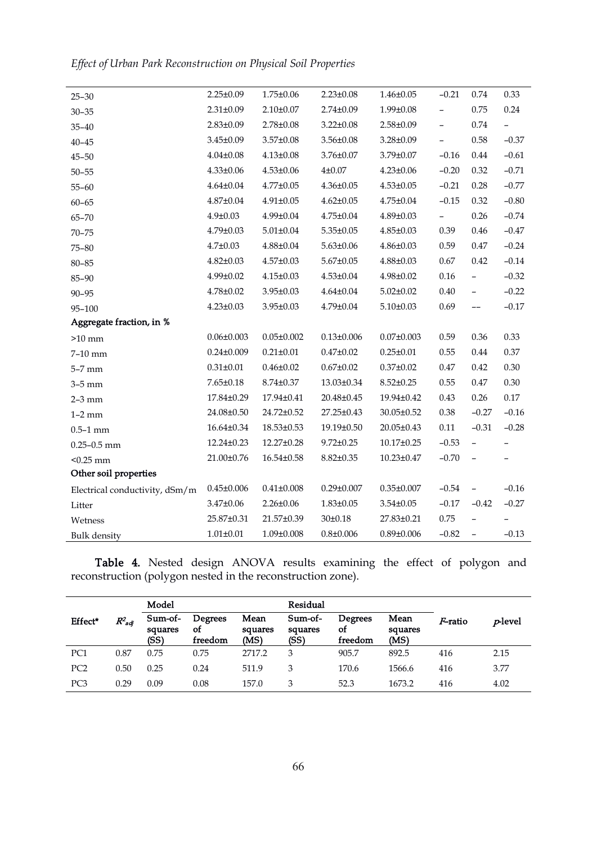*Ef ect of Urban ParkReconstruction on Physical Soil Properties*

| $25 - 30$                      | $2.25 \pm 0.09$  | $1.75 \pm 0.06$  | $2.23 \pm 0.08$  | $1.46 \pm 0.05$  | $-0.21$                  | 0.74                     | 0.33     |
|--------------------------------|------------------|------------------|------------------|------------------|--------------------------|--------------------------|----------|
| $30 - 35$                      | $2.31 \pm 0.09$  | $2.10 \pm 0.07$  | $2.74 \pm 0.09$  | 1.99±0.08        | $\overline{\phantom{0}}$ | 0.75                     | 0.24     |
| $35 - 40$                      | $2.83 \pm 0.09$  | $2.78 \pm 0.08$  | $3.22 \pm 0.08$  | 2.58±0.09        | $\overline{\phantom{0}}$ | 0.74                     |          |
| $40 - 45$                      | 3.45±0.09        | $3.57 \pm 0.08$  | $3.56 \pm 0.08$  | 3.28±0.09        | $\overline{\phantom{0}}$ | 0.58                     | $-0.37$  |
| $45 - 50$                      | $4.04 \pm 0.08$  | $4.13 \pm 0.08$  | 3.76±0.07        | 3.79±0.07        | $-0.16$                  | $0.44\,$                 | $-0.61$  |
| $50 - 55$                      | $4.33 \pm 0.06$  | $4.53 \pm 0.06$  | $4 + 0.07$       | $4.23 \pm 0.06$  | $-0.20$                  | 0.32                     | $-0.71$  |
| $55 - 60$                      | $4.64 \pm 0.04$  | $4.77 \pm 0.05$  | $4.36 \pm 0.05$  | $4.53 \pm 0.05$  | $-0.21$                  | 0.28                     | $-0.77$  |
| $60 - 65$                      | $4.87 \pm 0.04$  | $4.91 \pm 0.05$  | $4.62 \pm 0.05$  | $4.75 \pm 0.04$  | $-0.15$                  | 0.32                     | $-0.80$  |
| 65-70                          | $4.9 \pm 0.03$   | 4.99±0.04        | $4.75 \pm 0.04$  | $4.89 \pm 0.03$  | $\sim$                   | 0.26                     | $-0.74$  |
| $70 - 75$                      | 4.79±0.03        | $5.01 \pm 0.04$  | $5.35 \pm 0.05$  | $4.85 \pm 0.03$  | 0.39                     | 0.46                     | $-0.47$  |
| $75 - 80$                      | $4.7 \pm 0.03$   | $4.88 \pm 0.04$  | $5.63 \pm 0.06$  | $4.86 \pm 0.03$  | 0.59                     | 0.47                     | $-0.24$  |
| $80 - 85$                      | $4.82 \pm 0.03$  | $4.57 \pm 0.03$  | $5.67 \pm 0.05$  | $4.88 \pm 0.03$  | 0.67                     | 0.42                     | $-0.14$  |
| 85-90                          | 4.99±0.02        | $4.15 \pm 0.03$  | $4.53 \pm 0.04$  | $4.98 \pm 0.02$  | $0.16\,$                 | $\overline{\phantom{0}}$ | $-0.32$  |
| $90 - 95$                      | 4.78±0.02        | $3.95 \pm 0.03$  | $4.64 \pm 0.04$  | $5.02 \pm 0.02$  | 0.40                     | $\overline{\phantom{0}}$ | $-0.22$  |
| $95 - 100$                     | $4.23 \pm 0.03$  | $3.95 \pm 0.03$  | $4.79 \pm 0.04$  | $5.10 \pm 0.03$  | 0.69                     | $--$                     | $-0.17$  |
| Aggregate fraction, in %       |                  |                  |                  |                  |                          |                          |          |
| $>10\ \mathrm{mm}$             | $0.06 \pm 0.003$ | $0.05 \pm 0.002$ | $0.13 \pm 0.006$ | $0.07 \pm 0.003$ | 0.59                     | 0.36                     | 0.33     |
| $7-10$ mm                      | $0.24 \pm 0.009$ | $0.21 \pm 0.01$  | $0.47 \pm 0.02$  | $0.25 \pm 0.01$  | 0.55                     | 0.44                     | 0.37     |
| 5-7 mm                         | $0.31 \pm 0.01$  | $0.46 \pm 0.02$  | $0.67 \pm 0.02$  | $0.37 \pm 0.02$  | 0.47                     | 0.42                     | 0.30     |
| $3-5$ mm                       | $7.65 \pm 0.18$  | $8.74 \pm 0.37$  | 13.03±0.34       | $8.52 \pm 0.25$  | 0.55                     | 0.47                     | 0.30     |
| $2-3$ mm                       | 17.84±0.29       | 17.94±0.41       | 20.48±0.45       | 19.94±0.42       | 0.43                     | 0.26                     | $0.17\,$ |
| $1-2$ mm                       | 24.08±0.50       | 24.72±0.52       | 27.25±0.43       | 30.05±0.52       | 0.38                     | $-0.27$                  | $-0.16$  |
| $0.5 - 1$ mm                   | 16.64±0.34       | $18.53 \pm 0.53$ | 19.19±0.50       | 20.05±0.43       | $0.11\,$                 | $-0.31$                  | $-0.28$  |
| $0.25 - 0.5$ mm                | 12.24±0.23       | 12.27±0.28       | $9.72 \pm 0.25$  | 10.17±0.25       | $-0.53$                  | $\equiv$                 |          |
| $< 0.25$ mm                    | 21.00±0.76       | 16.54±0.58       | $8.82 \pm 0.35$  | 10.23±0.47       | $-0.70$                  |                          |          |
| Other soil properties          |                  |                  |                  |                  |                          |                          |          |
| Electrical conductivity, dSm/m | $0.45 \pm 0.006$ | $0.41 \pm 0.008$ | $0.29 \pm 0.007$ | $0.35 \pm 0.007$ | $-0.54$                  |                          | $-0.16$  |
| Litter                         | 3.47±0.06        | $2.26 \pm 0.06$  | $1.83 \pm 0.05$  | $3.54 \pm 0.05$  | $-0.17$                  | $-0.42$                  | $-0.27$  |
| Wetness                        | 25.87±0.31       | 21.57±0.39       | $30 \pm 0.18$    | 27.83±0.21       | 0.75                     |                          |          |
| <b>Bulk</b> density            | $1.01 \pm 0.01$  | 1.09±0.008       | $0.8 \pm 0.006$  | $0.89 \pm 0.006$ | $-0.82$                  | $\overline{\phantom{a}}$ | $-0.13$  |

Table 4. Nested design ANOVA results examining the effect of polygon and reconstruction (polygon nested in the reconstruction zone).

|                 |             | Model                      |                                        |                         | Residual                   |                                 |                         |                 |                 |
|-----------------|-------------|----------------------------|----------------------------------------|-------------------------|----------------------------|---------------------------------|-------------------------|-----------------|-----------------|
| Effect*         | $R^2_{adi}$ | Sum-of-<br>squares<br>(SS) | <b>Degrees</b><br><b>of</b><br>freedom | Mean<br>squares<br>(MS) | Sum-of-<br>squares<br>(SS) | Degrees<br><b>of</b><br>freedom | Mean<br>squares<br>(MS) | <i>F</i> -ratio | <i>p</i> -level |
| PC <sub>1</sub> | 0.87        | 0.75                       | 0.75                                   | 2717.2                  | 3                          | 905.7                           | 892.5                   | 416             | 2.15            |
| PC <sub>2</sub> | 0.50        | 0.25                       | 0.24                                   | 511.9                   | 3                          | 170.6                           | 1566.6                  | 416             | 3.77            |
| PC3             | 0.29        | 0.09                       | 0.08                                   | 157.0                   |                            | 52.3                            | 1673.2                  | 416             | 4.02            |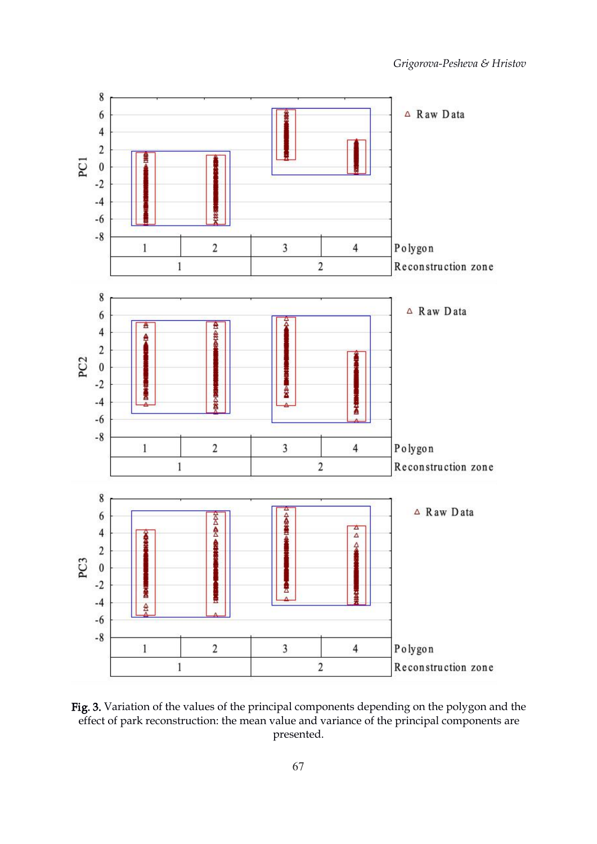

Fig. 3. Variation of the values of the principal components depending on the polygon and the effect of park reconstruction: the mean value and variance of the principal components are presented.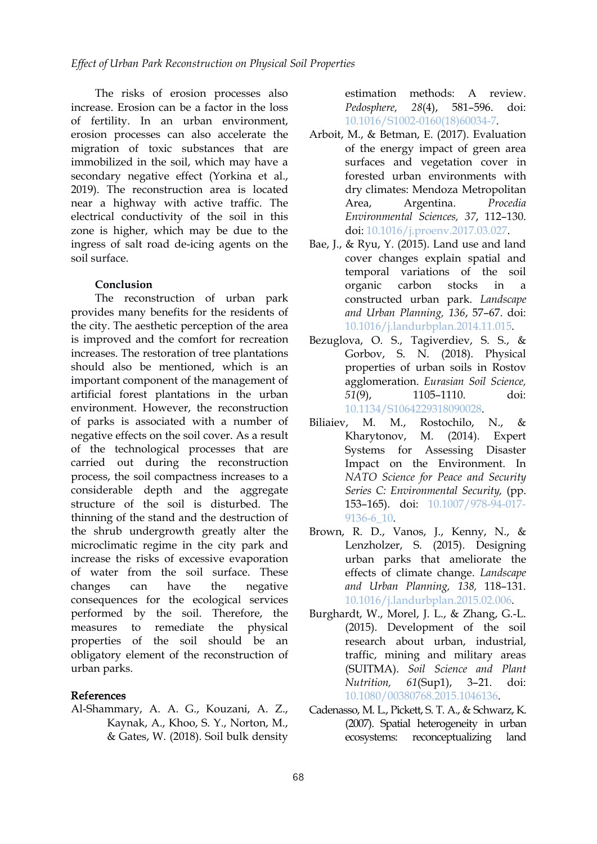The risks of erosion processes also increase. Erosion can be a factor in the loss of fertility. In an urban environment, erosion processes can also accelerate the migration of toxic substances that are immobilized in the soil, which may have a secondary negative effect (Yorkina et al., 2019). The reconstruction area is located near a highway with active traffic. The electrical conductivity of the soil in this zone is higher, which may be due to the ingress of salt road de-icing agents on the soil surface.

#### **Conclusion**

The reconstruction of urban park provides many benefits for the residents of the city. The aesthetic perception of the area is improved and the comfort for recreation increases. The restoration of tree plantations should also be mentioned, which is an important component of the management of artificial forest plantations in the urban 51(9), environment. However, the reconstruction of parks is associated with a number of negative effects on the soil cover. As a result of the technological processes that are carried out during the reconstruction process, the soil compactness increases to a considerable depth and the aggregate structure of the soil is disturbed. The thinning of the stand and the destruction of the shrub undergrowth greatly alter the microclimatic regime in the city park and increase the risks of excessive evaporation of water from the soil surface. These changes can have the negative *and Urban Planning, 138,* 118–131. consequences for the ecological services performed by the soil. Therefore, the measures to remediate the physical properties of the soil should be an obligatory element of the reconstruction of urban parks.

### References

Al-Shammary, A. A. G., Kouzani, A. Z., Kaynak, A., Khoo, S. Y., Norton, M., & Gates, W. (2018). Soil bulk density estimation methods: A review. *Pedosphere, 28*(4), 581–596. doi: [10.1016/S1002-0160\(18\)60034-7](https://doi.org/10.1016/S1002-0160(18)60034-7).

- Arboit, M., & Betman, E. (2017). Evaluation of the energy impact of green area surfaces and vegetation cover in forested urban environments with dry climates: Mendoza Metropolitan Area, Argentina. *Procedia Environmental Sciences, 37*, 112–130. doi: [10.1016/j.proenv.2017.03.027](https://doi.org/10.1016/j.proenv.2017.03.027).
- Bae, J., & Ryu, Y. (2015). Land use and land cover changes explain spatial and temporal variations of the soil organic carbon stocks in a constructed urban park. *Landscape and Urban Planning, 136*, 57–67. doi: [10.1016/j.landurbplan.2014.11.015](https://doi.org/10.1016/j.landurbplan.2014.11.015).
- Bezuglova, O. S., Tagiverdiev, S. S., & Gorbov, S. N. (2018). Physical properties of urban soils in Rostov agglomeration. *Eurasian Soil Science, 51*(9), 1105–1110. doi: [10.1134/S1064229318090028](https://doi.org/10.1134/S1064229318090028).
- M. M., Rostochilo, N., & Kharytonov, M. (2014). Expert Assessing Disaster Impact on the Environment. In *NATO Science for Peace and Security Series C: Environmental Security,* (pp. 153–165). doi: [10.1007/978-94-017-](https://doi.org/10.1007/978-94-017-9136-6_10) 9136-6\_10.
- Brown, R. D., Vanos, J., Kenny, N., & Lenzholzer, S. (2015). Designing urban parks that ameliorate the effects of climate change. *Landscape* [10.1016/j.landurbplan.2015.02.006](https://doi.org/10.1016/j.landurbplan.2015.02.006).
- Burghardt, W., Morel, J. L., & Zhang, G.-L. (2015). Development of the soil research about urban, industrial, traffic, mining and military areas (SUITMA). *Soil Science and Plant Nutrition, 61*(Sup1), 3–21. doi: [10.1080/00380768.2015.1046136.](https://doi.org/10.1080/00380768.2015.1046136)
- Cadenasso, M. L., Pickett, S. T. A., & Schwarz, K. (2007). Spatial heterogeneity in urban ecosystems: reconceptualizing land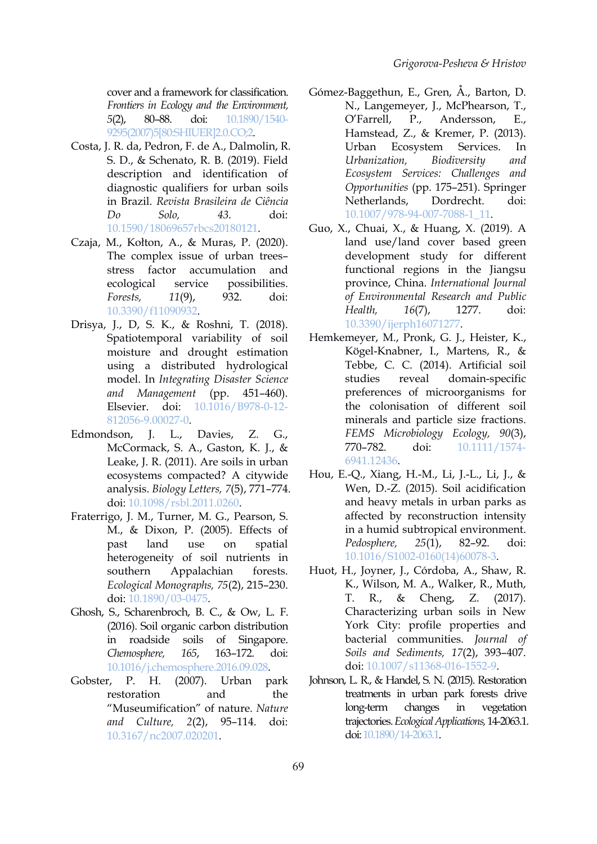cover and a framework for classification. *Frontiers in Ecology and the Environment, 5*(2), 80–88. doi: [10.1890/1540-](https://doi.org/10.1890/1540-9295(2007)5[80:SHIUER]2.0.CO;2) 9295(2007)5[80:SHIUER]2.0.CO;2.

- Costa, J. R. da, Pedron, F. de A., Dalmolin, R. S. D., & Schenato, R. B. (2019). Field description and identification of diagnostic qualifiers for urban soils in Brazil. *Revista Brasileira de Ciência Do Solo, 43*. doi: [10.1590/18069657rbcs20180121](https://doi.org/10.1590/18069657rbcs20180121).
- Czaja, M., Kołton, A., & Muras, P. (2020). The complex issue of urban trees– stress factor accumulation and ecological service possibilities. *Forests, 11*(9), 932. doi: [10.3390/f11090932.](https://doi.org/10.3390/f11090932)
- Drisya, J., D, S. K., & Roshni, T. (2018). Spatiotemporal variability of soil moisture and drought estimation using a distributed hydrological model. In *Integrating Disaster Science and Management* (pp. 451–460). Elsevier. doi: [10.1016/B978-0-12-](https://doi.org/10.1016/B978-0-12-812056-9.00027-0) 812056-9.00027-0.
- Edmondson, J. L., Davies, Z. G., McCormack, S. A., Gaston, K. J., & Leake, J. R. (2011). Are soils in urban ecosystems compacted? A citywide analysis. *Biology Letters, 7*(5), 771–774. doi: [10.1098/rsbl.2011.0260](https://doi.org/10.1098/rsbl.2011.0260).
- Fraterrigo, J. M., Turner, M. G., Pearson, S. M., & Dixon, P. (2005). Effects of past land use on spatial heterogeneity of soil nutrients in southern Appalachian forests. *Ecological Monographs, 75*(2), 215–230. doi: [10.1890/03-0475](https://doi.org/10.1890/03-0475).
- Ghosh, S., Scharenbroch, B. C., & Ow, L. F. (2016). Soil organic carbon distribution in roadside soils of Singapore. *Chemosphere, 165*, 163–172. doi: [10.1016/j.chemosphere.2016.09.028](https://doi.org/10.1016/j.chemosphere.2016.09.028).
- restoration and the "Museumification" of nature. *Nature and Culture, 2*(2), 95–114. doi: [10.3167/nc2007.020201](https://doi.org/10.3167/nc2007.020201).
- Gómez-Baggethun, E., Gren, Å., Barton, D. N., Langemeyer, J., McPhearson, T., P., Andersson, E., Hamstead, Z., & Kremer, P. (2013). Urban Ecosystem Services. In *Urbanization, Biodiversity and Ecosystem Services: Challenges and Opportunities* (pp. 175–251). Springer Netherlands, Dordrecht. doi: [10.1007/978-94-007-7088-1\\_11](https://doi.org/10.1007/978-94-007-7088-1_11).
- Guo, X., Chuai, X., & Huang, X. (2019). A land use/land cover based green development study for different functional regions in the Jiangsu province, China. *International Journal of Environmental Research and Public Health, 16*(7), 1277. doi: [10.3390/ijerph16071277](https://doi.org/10.3390/ijerph16071277).
- Hemkemeyer, M., Pronk, G. J., Heister, K., Kögel-Knabner, I., Martens, R., & Tebbe, C. C. (2014). Artificial soil reveal domain-specific preferences of microorganisms for the colonisation of different soil minerals and particle size fractions. *FEMS Microbiology Ecology, 90*(3), 770–782. doi: [10.1111/1574-](https://doi.org/10.1111/1574-6941.12436) 6941.12436.
- Hou, E.-Q., Xiang, H.-M., Li, J.-L., Li, J., & Wen, D.-Z. (2015). Soil acidification and heavy metals in urban parks as affected by reconstruction intensity in a humid subtropical environment. *Pedosphere, 25*(1), 82–92. doi: [10.1016/S1002-0160\(14\)60078-3](https://doi.org/10.1016/S1002-0160(14)60078-3).
- Huot, H., Joyner, J., Córdoba, A., Shaw, R. K., Wilson, M. A., Walker, R., Muth, T. R., & Cheng, Z. (2017). Characterizing urban soils in New York City: profile properties and bacterial communities. *Journal of Soils and Sediments, 17*(2), 393–407. doi: [10.1007/s11368-016-1552-9](https://doi.org/10.1007/s11368-016-1552-9).
- Gobster, P. H. (2007). Urban park Johnson, L. R., & Handel, S. N. (2015). Restoration treatments in urban park forests drive changes in vegetation trajectories.*EcologicalApplications,*14-2063.1. doi:[10.1890/14-2063.1.](https://doi.org/10.1890/14-2063.1)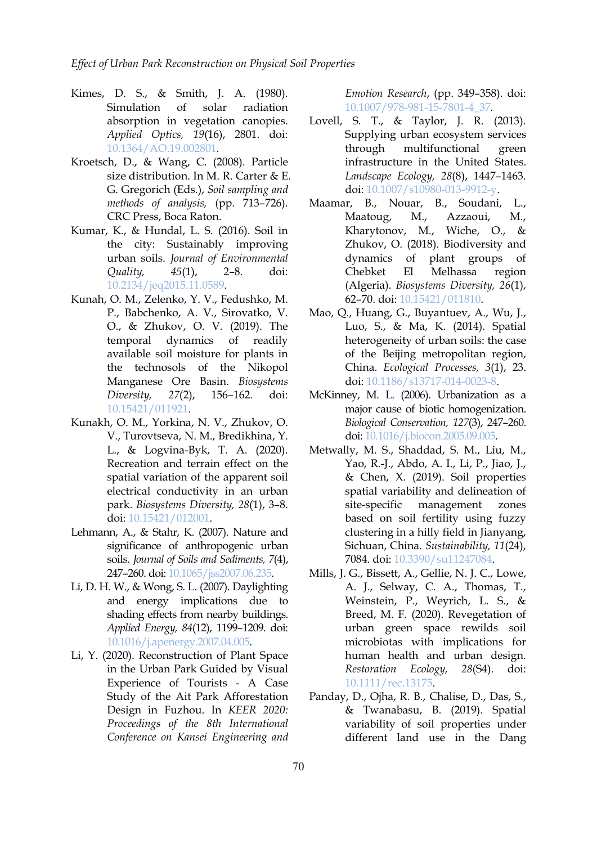- Kimes, D. S., & Smith, J. A. (1980). Simulation of solar radiation [10.1007/978-981-15-7801-4\\_37](https://doi.org/10.1007/978-981-15-7801-4_37). absorption in vegetation canopies. *Applied Optics, 19*(16), 2801. doi: [10.1364/AO.19.002801.](https://doi.org/10.1364/AO.19.002801)
- Kroetsch, D., & Wang, C. (2008). Particle size distribution. In M. R. Carter & E. G. Gregorich (Eds.), *Soil sampling and methods of analysis,* (pp. 713–726). CRC Press, Boca Raton.
- Kumar, K., & Hundal, L. S. (2016). Soil in the city: Sustainably improving urban soils. *Journal of Environmental Quality, 45*(1), 2–8. doi: [10.2134/jeq2015.11.0589.](https://doi.org/10.2134/jeq2015.11.0589)
- Kunah, O. M., Zelenko, Y. V., Fedushko, M. P., Babchenko, A. V., Sirovatko, V. O., & Zhukov, O. V. (2019). The temporal dynamics of readily available soil moisture for plants in the technosols of the Nikopol Manganese Ore Basin. *Biosystems Diversity, 27*(2), 156–162. doi: [10.15421/011921.](https://doi.org/10.15421/011921)
- Kunakh, O. M., Yorkina, N. V., Zhukov, O. V., Turovtseva, N. M., Bredikhina, Y. L., & Logvina-Byk, T. A.(2020). Recreation and terrain effect on the spatial variation of the apparent soil electrical conductivity in an urban park. *Biosystems Diversity, 28*(1), 3–8. doi: [10.15421/012001](https://doi.org/10.15421/012001).
- Lehmann, A., & Stahr, K. (2007). Nature and significance of anthropogenic urban soils. *Journal of Soils and Sediments, 7*(4), 247–260. doi: [10.1065/jss2007.06.235.](https://doi.org/10.1065/jss2007.06.235)
- Li, D. H. W., & Wong, S. L. (2007). Daylighting and energy implications due to shading effects from nearby buildings. *Applied Energy, 84*(12), 1199–1209. doi: [10.1016/j.apenergy.2007.04.005.](https://doi.org/10.1016/j.apenergy.2007.04.005)
- Li, Y. (2020). Reconstruction of Plant Space in the Urban Park Guided by Visual Experience of Tourists - A Case Study of the Ait Park Afforestation Design in Fuzhou. In *KEER 2020: Proceedings of the 8th International Conference on Kansei Engineering and*

*Emotion Research*, (pp. 349–358). doi:

- Lovell, S. T., & Taylor, J. R. (2013). Supplying urban ecosystem services through multifunctional green infrastructure in the United States. *Landscape Ecology, 28*(8), 1447–1463. doi: [10.1007/s10980-013-9912-y.](https://doi.org/10.1007/s10980-013-9912-y)
- Maamar, B., Nouar, B., Soudani, L., Maatoug, M., Azzaoui, M., Kharytonov, M., Wiche, O., & Zhukov, O. (2018). Biodiversity and plant groups of Chebket El Melhassa region (Algeria). *Biosystems Diversity, 26*(1), 62–70. doi: [10.15421/011810.](https://doi.org/10.15421/011810)
- Mao, Q., Huang, G., Buyantuev, A., Wu, J., Luo, S., & Ma, K. (2014). Spatial heterogeneity of urban soils: the case of the Beijing metropolitan region, China. *Ecological Processes, 3*(1), 23. doi: [10.1186/s13717-014-0023-8](https://doi.org/10.1186/s13717-014-0023-8).
- McKinney, M. L. (2006). Urbanization as a major cause of biotic homogenization. *Biological Conservation, 127*(3), 247–260. doi: [10.1016/j.biocon.2005.09.005.](https://doi.org/10.1016/j.biocon.2005.09.005)
- Metwally, M. S., Shaddad, S. M., Liu, M., Yao, R.-J., Abdo, A. I., Li, P., Jiao, J., & Chen, X. (2019). Soil properties spatial variability and delineation of site-specific management zones based on soil fertility using fuzzy clustering in a hilly field in Jianyang, Sichuan, China. *Sustainability, 11*(24), 7084. doi: [10.3390/su11247084.](https://doi.org/10.3390/su11247084)
- Mills, J. G., Bissett, A., Gellie, N. J. C., Lowe, A. J., Selway, C. A., Thomas, T., Weinstein, P., Weyrich, L. S., & Breed, M. F. (2020). Revegetation of urban green space rewilds soil microbiotas with implications for human health and urban design. *Restoration Ecology, 28*(S4). doi: [10.1111/rec.13175](https://doi.org/10.1111/rec.13175).
- Panday, D., Ojha, R. B., Chalise, D., Das, S., & Twanabasu, B. (2019). Spatial variability of soil properties under different land use in the Dang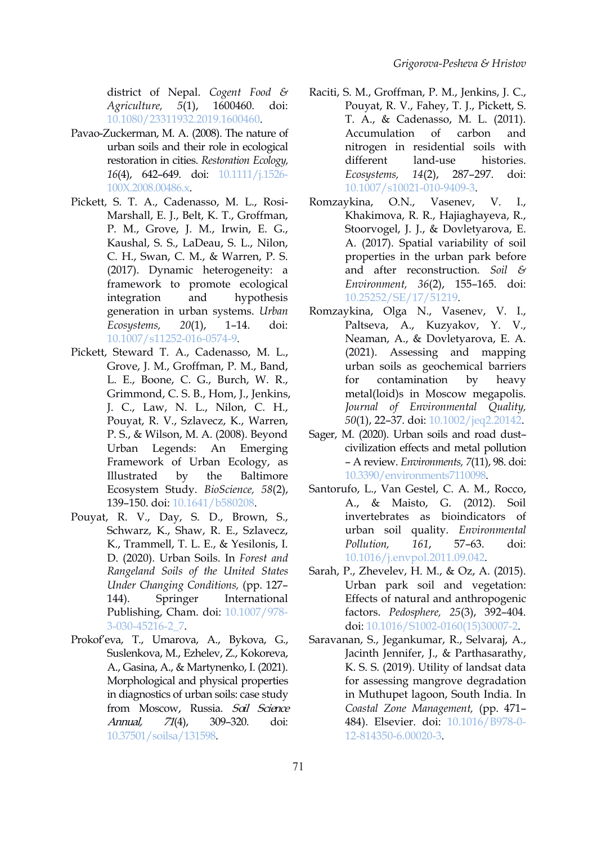district of Nepal. *Cogent Food & Agriculture, 5*(1), 1600460. doi: [10.1080/23311932.2019.1600460](https://doi.org/10.1080/23311932.2019.1600460).

- Pavao-Zuckerman, M. A. (2008). The nature of urban soils and their role in ecological restoration in cities. *Restoration Ecology, 16*(4), 642–649. doi: [10.1111/j.1526-](https://doi.org/10.1111/j.1526-100X.2008.00486.x) 100X.2008.00486.x.
- Pickett, S. T. A., Cadenasso, M. L., Rosi- Marshall, E. J., Belt, K. T., Groffman, P. M., Grove, J. M., Irwin, E. G., Kaushal, S. S., LaDeau, S. L., Nilon, C. H., Swan, C. M., & Warren, P. S. (2017). Dynamic heterogeneity: a framework to promote ecological integration and hypothesis generation in urban systems. *Urban Ecosystems, 20*(1), 1–14. doi: [10.1007/s11252-016-0574-9](https://doi.org/10.1007/s11252-016-0574-9).
- Pickett, Steward T. A., Cadenasso, M. L., Grove, J. M., Groffman, P. M., Band, L. E., Boone, C. G., Burch, W. R., Grimmond, C. S. B., Hom, J., Jenkins, J. C., Law, N. L., Nilon, C. H., Pouyat, R. V., Szlavecz, K., Warren, P. S., & Wilson, M. A. (2008). Beyond Urban Legends: An Emerging Framework of Urban Ecology, as Illustrated by the Baltimore Ecosystem Study. *BioScience, 58*(2), 139–150. doi: [10.1641/b580208.](https://doi.org/10.1641/b580208)
- Pouyat, R. V., Day, S. D., Brown, S., Schwarz, K., Shaw, R. E., Szlavecz, K., Trammell, T. L. E., & Yesilonis, I. D. (2020). Urban Soils. In *Forest and Rangeland Soils of the United States Under Changing Conditions,* (pp. 127– 144). Springer International Publishing, Cham. doi: [10.1007/978-](https://doi.org/10.1007/978-3-030-45216-2_7) 3-030-45216-2\_7.
- Prokof'eva, T., Umarova, A., Bykova, G., Suslenkova, M., Ezhelev, Z., Kokoreva, A., Gasina, A., & Martynenko, I. (2021). Morphological and physical properties in diagnostics of urban soils: case study from Moscow, Russia. Soil Science Annual, 71(4), 309–320. doi: [10.37501/soilsa/131598](https://doi.org/10.37501/soilsa/131598).
- Raciti, S. M., Groffman, P. M., Jenkins, J. C., Pouyat, R. V., Fahey, T. J., Pickett, S. T. A., & Cadenasso, M. L. (2011). Accumulation of carbon and nitrogen in residential soils with land-use histories. *Ecosystems, 14*(2), 287–297. doi: [10.1007/s10021-010-9409-3.](https://doi.org/10.1007/s10021-010-9409-3)
- Romzaykina, O.N., Vasenev, V. I., Khakimova, R. R., Hajiaghayeva, R., Stoorvogel, J. J., & Dovletyarova, E. A. (2017). Spatial variability of soil properties in the urban park before and after reconstruction. *Soil & Environment, 36*(2), 155–165. doi: [10.25252/SE/17/51219](https://doi.org/10.25252/SE/17/51219).
- Romzaykina, Olga N., Vasenev, V. I., Paltseva, A., Kuzyakov, Y. V., Neaman, A., & Dovletyarova, E. A. (2021). Assessing and mapping urban soils as geochemical barriers for contamination by heavy metal(loid)s in Moscow megapolis. *Journal of Environmental Quality, 50*(1), 22–37. doi: [10.1002/jeq2.20142](https://doi.org/10.1002/jeq2.20142).
- Sager, M. (2020). Urban soils and road dust– civilization effects and metal pollution – A review. *Environments, 7*(11), 98. doi: [10.3390/environments7110098](https://doi.org/10.3390/environments7110098).
- Santorufo, L., Van Gestel, C. A. M., Rocco, A., & Maisto, G. (2012). Soil invertebrates as bioindicators of urban soil quality. *Environmental Pollution, 161*, 57–63. doi: [10.1016/j.envpol.2011.09.042](https://doi.org/10.1016/j.envpol.2011.09.042).
- Sarah, P., Zhevelev, H. M., & Oz, A. (2015). Urban park soil and vegetation: Effects of natural and anthropogenic factors. *Pedosphere, 25*(3), 392–404. doi: [10.1016/S1002-0160\(15\)30007-2](https://doi.org/10.1016/S1002-0160(15)30007-2).
- Saravanan, S., Jegankumar, R., Selvaraj, A., Jacinth Jennifer, J., & Parthasarathy, K. S. S. (2019). Utility of landsat data for assessing mangrove degradation in Muthupet lagoon, South India. In *Coastal Zone Management,* (pp. 471– 484). Elsevier. doi: [10.1016/B978-0-](https://doi.org/10.1016/B978-0-12-814350-6.00020-3) 12-814350-6.00020-3.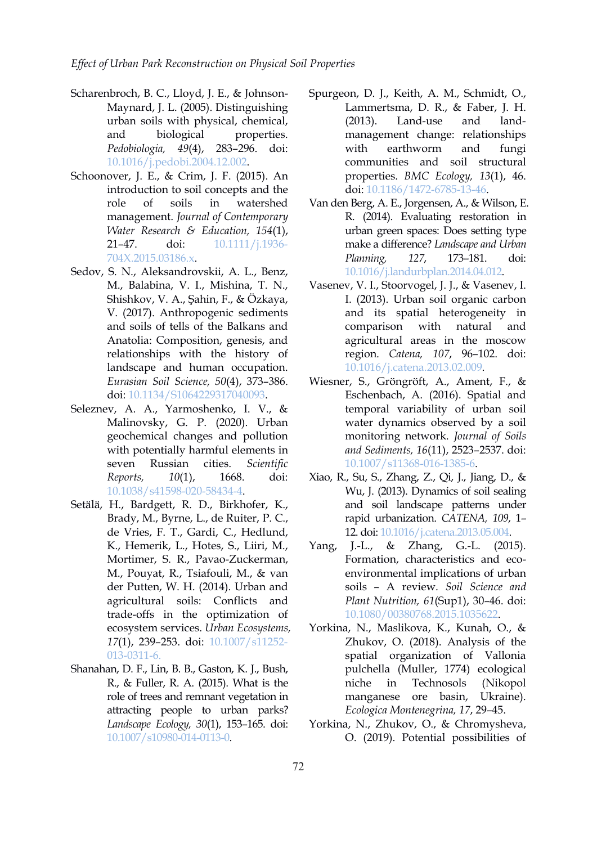- Scharenbroch, B. C., Lloyd, J. E., & Johnson- Maynard, J. L. (2005). Distinguishing urban soils with physical, chemical, and biological properties. *Pedobiologia, 49*(4), 283–296. doi: [10.1016/j.pedobi.2004.12.002](https://doi.org/10.1016/j.pedobi.2004.12.002).
- Schoonover, J. E., & Crim, J. F. (2015). An introduction to soil concepts and the management. *Journal of Contemporary Water Research & Education, 154*(1), 21–47. doi: [10.1111/j.1936-](https://doi.org/10.1111/j.1936-704X.2015.03186.x) 704X.2015.03186.x.
- Sedov, S. N., Aleksandrovskii, A. L., Benz, M., Balabina, V. I., Mishina, T. N., Shishkov, V. A., Şahin, F., & Özkaya, V. (2017). Anthropogenic sediments and soils of tells of the Balkans and Anatolia: Composition, genesis, and relationships with the history of landscape and human occupation. *Eurasian Soil Science, 50*(4), 373–386. doi: [10.1134/S1064229317040093](https://doi.org/10.1134/S1064229317040093).
- Seleznev, A. A., Yarmoshenko, I. V., & Malinovsky, G. P. (2020). Urban geochemical changes and pollution with potentially harmful elements in seven Russian cities. *Scientific Reports, 10*(1), 1668. doi: [10.1038/s41598-020-58434-4.](https://doi.org/10.1038/s41598-020-58434-4)
- Setälä, H., Bardgett, R. D., Birkhofer, K., Brady, M., Byrne, L., de Ruiter, P. C., de Vries, F. T., Gardi, C., Hedlund, K., Hemerik, L., Hotes, S., Liiri, M., Mortimer, S. R., Pavao-Zuckerman, M., Pouyat, R., Tsiafouli, M., & van der Putten, W. H. (2014). Urban and agricultural soils: Conflicts and trade-offs in the optimization of ecosystem services. *Urban Ecosystems, 17*(1), 239–253. doi: [10.1007/s11252-](https://doi.org/10.1007/s11252-013-0311-6) 013-0311-6.
- Shanahan, D. F., Lin, B. B., Gaston, K. J., Bush, R., & Fuller, R. A. (2015). What is the role of trees and remnant vegetation in attracting people to urban parks? *Landscape Ecology, 30*(1), 153–165. doi: [10.1007/s10980-014-0113-0.](https://doi.org/10.1007/s10980-014-0113-0)
- Spurgeon, D. J., Keith, A. M., Schmidt, O., Lammertsma, D. R., & Faber, J. H. (2013). Land-use and land management change: relationships with earthworm and fungi communities and soil structural properties. *BMC Ecology, 13*(1), 46. doi: [10.1186/1472-6785-13-46](https://doi.org/10.1186/1472-6785-13-46).
- role of soils in watershed Van den Berg, A. E., Jorgensen, A., & Wilson, E. R. (2014). Evaluating restoration in urban green spaces: Does setting type make a difference? *Landscape and Urban Planning, 127*, 173–181. doi: [10.1016/j.landurbplan.2014.04.012](https://doi.org/10.1016/j.landurbplan.2014.04.012).
	- Vasenev, V. I., Stoorvogel, J. J., & Vasenev, I. I. (2013). Urban soil organic carbon and its spatial heterogeneity in comparison with natural and agricultural areas in the moscow region. *Catena, 107*, 96–102. doi: [10.1016/j.catena.2013.02.009.](https://doi.org/10.1016/j.catena.2013.02.009)
	- Wiesner, S., Gröngröft, A., Ament, F., & Eschenbach, A. (2016). Spatial and temporal variability of urban soil water dynamics observed by a soil monitoring network. *Journal of Soils and Sediments, 16*(11), 2523–2537. doi: [10.1007/s11368-016-1385-6.]( https:/doi.org/10.1007/s11368-016-1385-6)
	- Xiao, R., Su, S., Zhang, Z., Qi, J., Jiang, D., & Wu, J. (2013). Dynamics of soil sealing and soil landscape patterns under rapid urbanization. *CATENA, 109*, 1– 12. doi: [10.1016/j.catena.2013.05.004.](https://doi.org/10.1016/j.catena.2013.05.004)
	- $I.-L., \& Zhang, G.-L. (2015).$ Formation, characteristics and eco environmental implications of urban soils – A review. *Soil Science and Plant Nutrition, 61*(Sup1), 30–46. doi: [10.1080/00380768.2015.1035622.](https://doi.org/10.1080/00380768.2015.1035622)
	- Yorkina, N., Maslikova, K., Kunah, O., & Zhukov, O. (2018). Analysis of the spatial organization of Vallonia pulchella (Muller, 1774) ecological Technosols (Nikopol manganese ore basin, Ukraine). *Ecologica Montenegrina, 17*, 29–45.
	- Yorkina, N., Zhukov, O., & Chromysheva, O. (2019). Potential possibilities of